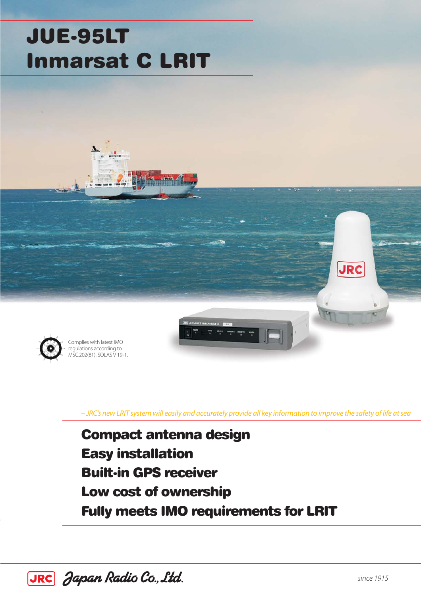# JUE-95LT Inmarsat C LRIT



Complies with latest IMO regulations according to MSC.202(81), SOLAS V 19-1.

– JRC's new LRIT system will easily and accurately provide all key information to improve the safety of life at sea

Compact antenna design Easy installation Built-in GPS receiver Low cost of ownership Fully meets IMO requirements for LRIT



**JRC**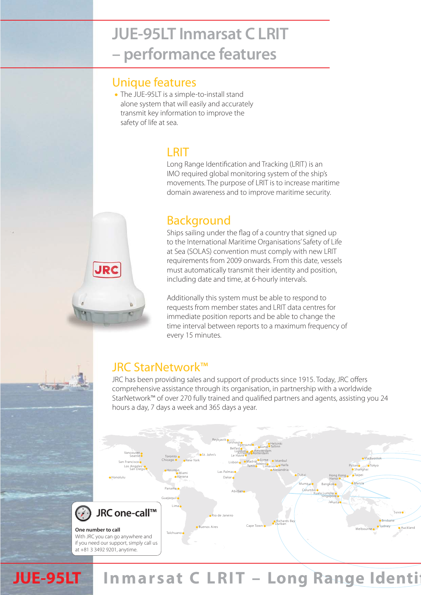# **JUE-95LT Inmarsat C LRIT - performance features – performance features**

#### Unique features

The JUE-95LT is a simple-to-install stand alone system that will easily and accurately transmit key information to improve the safety of life at sea.

### **LRIT**

Long Range Identification and Tracking (LRIT) is an IMO required global monitoring system of the ship's movements. The purpose of LRIT is to increase maritime domain awareness and to improve maritime security.

### **Background**

Ships sailing under the flag of a country that signed up to the International Maritime Organisations' Safety of Life at Sea (SOLAS) convention must comply with new LRIT requirements from 2009 onwards. From this date, vessels must automatically transmit their identity and position, including date and time, at 6-hourly intervals.

Additionally this system must be able to respond to requests from member states and LRIT data centres for immediate position reports and be able to change the time interval between reports to a maximum frequency of every 15 minutes.

### JRC StarNetwork™

**JRC** 

JRC has been providing sales and support of products since 1915. Today, JRC offers comprehensive assistance through its organisation, in partnership with a worldwide StarNetwork™ of over 270 fully trained and qualified partners and agents, assisting you 24 hours a day, 7 days a week and 365 days a year.



# **JUE-95LT** Inmarsat C LRIT - Long Range Identi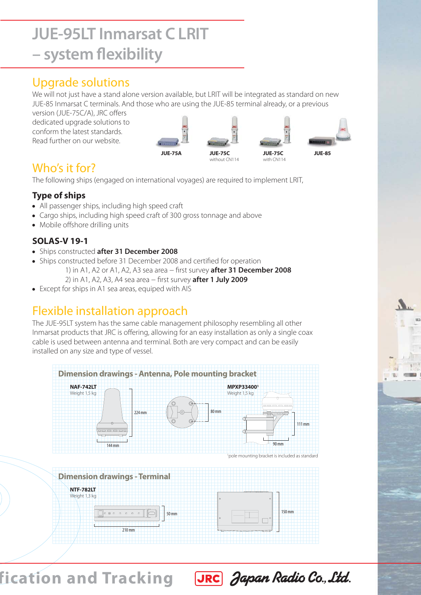# **JUE-95LT Inmarsat C LRIT - system flexibility – system flexibility**

### Upgrade solutions

We will not just have a stand alone version available, but LRIT will be integrated as standard on new JUE-85 Inmarsat C terminals. And those who are using the JUE-85 terminal already, or a previous

version (JUE-75C/A), JRC offers dedicated upgrade solutions to conform the latest standards. Read further on our website.



### Who's it for?

The following ships (engaged on international voyages) are required to implement LRIT,

#### **Type of ships**

- All passenger ships, including high speed craft
- Cargo ships, including high speed craft of 300 gross tonnage and above
- Mobile offshore drilling units

#### **SOLAS-V 19-1**

- Ships constructed **after 31 December 2008**
- Ships constructed before 31 December 2008 and certified for operation 1) in A1, A2 or A1, A2, A3 sea area − first survey **after 31 December 2008** 2) in A1, A2, A3, A4 sea area − first survey **after 1 July 2009**
- Except for ships in A1 sea areas, equiped with AIS

## Flexible installation approach

The JUE-95LT system has the same cable management philosophy resembling all other Inmarsat products that JRC is offering, allowing for an easy installation as only a single coax cable is used between antenna and terminal. Both are very compact and can be easily installed on any size and type of vessel.



JRC Japan Radio Co., Ltd.

**fication and Tracking**